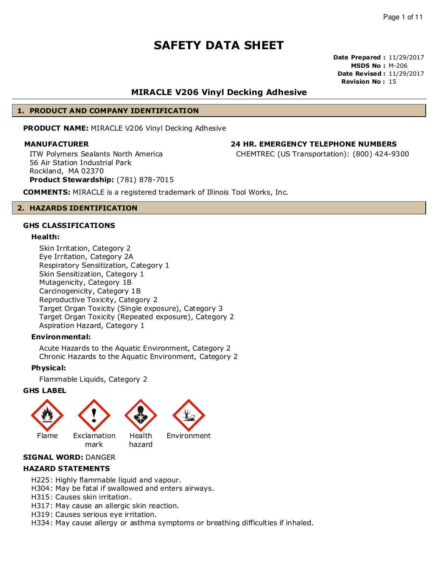**Date Prepared :** 11/29/2017 **MSDS No :** M-206 **Date Revised :** 11/29/2017 **Revision No :** 15

# **MIRACLE V206 Vinyl Decking Adhesive**

## **1. PRODUCT AND COMPANY IDENTIFICATION**

**PRODUCT NAME:** MIRACLE V206 Vinyl Decking Adhesive

# **MANUFACTURER 24 HR. EMERGENCY TELEPHONE NUMBERS**

ITW Polymers Sealants North America 56 Air Station Industrial Park Rockland, MA 02370 **Product Stewardship:** (781) 878-7015

**COMMENTS:** MIRACLE is a registered trademark of Illinois Tool Works, Inc.

### **2. HAZARDS IDENTIFICATION**

### **GHS CLASSIFICATIONS**

### **Health:**

Skin Irritation, Category 2 Eye Irritation, Category 2A Respiratory Sensitization, Category 1 Skin Sensitization, Category 1 Mutagenicity, Category 1B Carcinogenicity, Category 1B Reproductive Toxicity, Category 2 Target Organ Toxicity (Single exposure), Category 3 Target Organ Toxicity (Repeated exposure), Category 2 Aspiration Hazard, Category 1

### **Environmental:**

Acute Hazards to the Aquatic Environment, Category 2 Chronic Hazards to the Aquatic Environment, Category 2

### **Physical:**

Flammable Liquids, Category 2

### **GHS LABEL**



# **SIGNAL WORD:** DANGER

### **HAZARD STATEMENTS**

- H225: Highly flammable liquid and vapour.
- H304: May be fatal if swallowed and enters airways.
- H315: Causes skin irritation.
- H317: May cause an allergic skin reaction.
- H319: Causes serious eye irritation.
- H334: May cause allergy or asthma symptoms or breathing difficulties if inhaled.

CHEMTREC (US Transportation): (800) 424-9300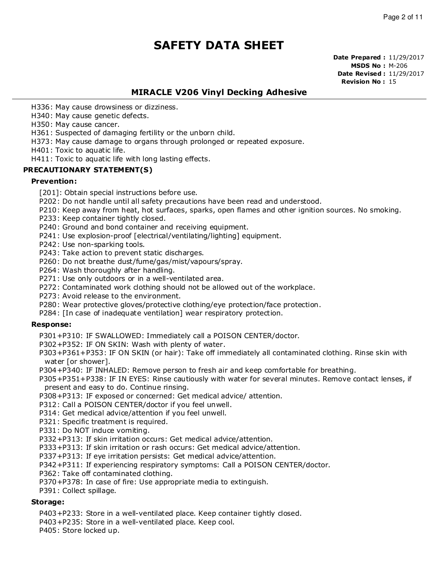**Date Prepared :** 11/29/2017 **MSDS No :** M-206 **Date Revised :** 11/29/2017 **Revision No :** 15

# **MIRACLE V206 Vinyl Decking Adhesive**

H336: May cause drowsiness or dizziness.

H340: May cause genetic defects.

H350: May cause cancer.

H361: Suspected of damaging fertility or the unborn child.

H373: May cause damage to organs through prolonged or repeated exposure.

H401: Toxic to aquatic life.

H411: Toxic to aquatic life with long lasting effects.

## **PRECAUTIONARY STATEMENT(S)**

### **Prevention:**

- [201]: Obtain special instructions before use.
- P202: Do not handle until all safety precautions have been read and understood.
- P210: Keep away from heat, hot surfaces, sparks, open flames and other ignition sources. No smoking.
- P233: Keep container tightly closed.
- P240: Ground and bond container and receiving equipment.
- P241: Use explosion-proof [electrical/ventilating/lighting] equipment.
- P242: Use non-sparking tools.
- P243: Take action to prevent static discharges.
- P260: Do not breathe dust/fume/gas/mist/vapours/spray.
- P264: Wash thoroughly after handling.
- P271: Use only outdoors or in a well-ventilated area.
- P272: Contaminated work clothing should not be allowed out of the workplace.
- P273: Avoid release to the environment.
- P280: Wear protective gloves/protective clothing/eye protection/face protection.
- P284: [In case of inadequate ventilation] wear respiratory protection.

### **Response:**

P301+P310: IF SWALLOWED: Immediately call a POISON CENTER/doctor.

P302+P352: IF ON SKIN: Wash with plenty of water.

- P303+P361+P353: IF ON SKIN (or hair): Take off immediately all contaminated clothing. Rinse skin with water [or shower].
- P304+P340: IF INHALED: Remove person to fresh air and keep comfortable for breathing.

P305+P351+P338: IF IN EYES: Rinse cautiously with water for several minutes. Remove contact lenses, if present and easy to do. Continue rinsing.

- P308+P313: IF exposed or concerned: Get medical advice/ attention.
- P312: Call a POISON CENTER/doctor if you feel unwell.
- P314: Get medical advice/attention if you feel unwell.
- P321: Specific treatment is required.
- P331: Do NOT induce vomiting.
- P332+P313: If skin irritation occurs: Get medical advice/attention.
- P333+P313: If skin irritation or rash occurs: Get medical advice/attention.
- P337+P313: If eye irritation persists: Get medical advice/attention.

P342+P311: If experiencing respiratory symptoms: Call a POISON CENTER/doctor.

P362: Take off contaminated clothing.

P370+P378: In case of fire: Use appropriate media to extinguish.

P391: Collect spillage.

### **Storage:**

P403+P233: Store in a well-ventilated place. Keep container tightly closed.

P403+P235: Store in a well-ventilated place. Keep cool.

P405: Store locked up.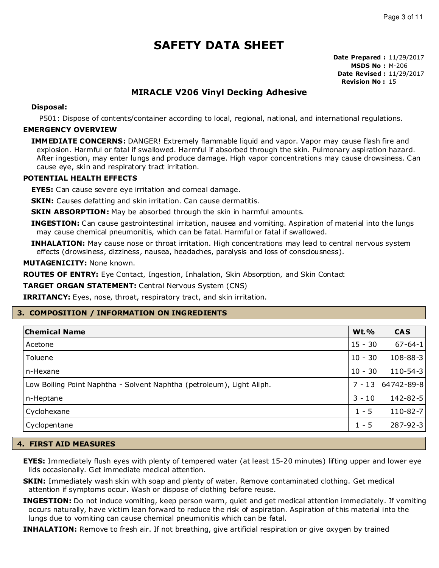**Date Prepared :** 11/29/2017 **MSDS No :** M-206 **Date Revised :** 11/29/2017 **Revision No :** 15

# **MIRACLE V206 Vinyl Decking Adhesive**

### **Disposal:**

P501: Dispose of contents/container according to local, regional, national, and international regulations.

### **EMERGENCY OVERVIEW**

**IMMEDIATE CONCERNS:** DANGER! Extremely flammable liquid and vapor. Vapor may cause flash fire and explosion. Harmful or fatal if swallowed. Harmful if absorbed through the skin. Pulmonary aspiration hazard. After ingestion, may enter lungs and produce damage. High vapor concentrations may cause drowsiness. Can cause eye, skin and respiratory tract irritation.

### **POTENTIAL HEALTH EFFECTS**

**EYES:** Can cause severe eye irritation and corneal damage.

**SKIN:** Causes defatting and skin irritation. Can cause dermatitis.

**SKIN ABSORPTION:** May be absorbed through the skin in harmful amounts.

**INGESTION:** Can cause gastrointestinal irritation, nausea and vomiting. Aspiration of material into the lungs may cause chemical pneumonitis, which can be fatal. Harmful or fatal if swallowed.

**INHALATION:** May cause nose or throat irritation. High concentrations may lead to central nervous system effects (drowsiness, dizziness, nausea, headaches, paralysis and loss of consciousness).

**MUTAGENICITY:** None known.

**ROUTES OF ENTRY:** Eye Contact, Ingestion, Inhalation, Skin Absorption, and Skin Contact

**TARGET ORGAN STATEMENT:** Central Nervous System (CNS)

**IRRITANCY:** Eyes, nose, throat, respiratory tract, and skin irritation.

### **3. COMPOSITION / INFORMATION ON INGREDIENTS**

| <b>Chemical Name</b>                                                  | <b>Wt.%</b> | <b>CAS</b>     |
|-----------------------------------------------------------------------|-------------|----------------|
| Acetone                                                               | $15 - 30$   | $67 - 64 - 1$  |
| Toluene                                                               | $10 - 30$   | 108-88-3       |
| n-Hexane                                                              | $10 - 30$   | $110 - 54 - 3$ |
| Low Boiling Point Naphtha - Solvent Naphtha (petroleum), Light Aliph. | $7 - 13$    | 64742-89-8     |
| n-Heptane                                                             | $3 - 10$    | 142-82-5       |
| Cyclohexane                                                           | $1 - 5$     | $110 - 82 - 7$ |
| Cyclopentane                                                          | $1 - 5$     | 287-92-3       |

### **4. FIRST AID MEASURES**

- **EYES:** Immediately flush eyes with plenty of tempered water (at least 15-20 minutes) lifting upper and lower eye lids occasionally. Get immediate medical attention.
- **SKIN:** Immediately wash skin with soap and plenty of water. Remove contaminated clothing. Get medical attention if symptoms occur. Wash or dispose of clothing before reuse.
- **INGESTION:** Do not induce vomiting, keep person warm, quiet and get medical attention immediately. If vomiting occurs naturally, have victim lean forward to reduce the risk of aspiration. Aspiration of this material into the lungs due to vomiting can cause chemical pneumonitis which can be fatal.

**INHALATION:** Remove to fresh air. If not breathing, give artificial respiration or give oxygen by trained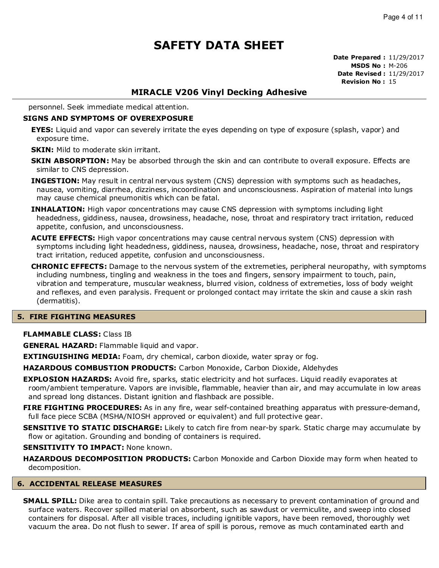**Date Prepared :** 11/29/2017 **MSDS No :** M-206 **Date Revised :** 11/29/2017 **Revision No :** 15

# **MIRACLE V206 Vinyl Decking Adhesive**

personnel. Seek immediate medical attention.

### **SIGNS AND SYMPTOMS OF OVEREXPOSURE**

- **EYES:** Liquid and vapor can severely irritate the eyes depending on type of exposure (splash, vapor) and exposure time.
- **SKIN:** Mild to moderate skin irritant.
- **SKIN ABSORPTION:** May be absorbed through the skin and can contribute to overall exposure. Effects are similar to CNS depression.
- **INGESTION:** May result in central nervous system (CNS) depression with symptoms such as headaches, nausea, vomiting, diarrhea, dizziness, incoordination and unconsciousness. Aspiration of material into lungs may cause chemical pneumonitis which can be fatal.
- **INHALATION:** High vapor concentrations may cause CNS depression with symptoms including light headedness, giddiness, nausea, drowsiness, headache, nose, throat and respiratory tract irritation, reduced appetite, confusion, and unconsciousness.
- **ACUTE EFFECTS:** High vapor concentrations may cause central nervous system (CNS) depression with symptoms including light headedness, giddiness, nausea, drowsiness, headache, nose, throat and respiratory tract irritation, reduced appetite, confusion and unconsciousness.
- **CHRONIC EFFECTS:** Damage to the nervous system of the extremeties, peripheral neuropathy, with symptoms including numbness, tingling and weakness in the toes and fingers, sensory impairment to touch, pain, vibration and temperature, muscular weakness, blurred vision, coldness of extremeties, loss of body weight and reflexes, and even paralysis. Frequent or prolonged contact may irritate the skin and cause a skin rash (dermatitis).

### **5. FIRE FIGHTING MEASURES**

### **FLAMMABLE CLASS:** Class IB

**GENERAL HAZARD:** Flammable liquid and vapor.

**EXTINGUISHING MEDIA:** Foam, dry chemical, carbon dioxide, water spray or fog.

**HAZARDOUS COMBUSTION PRODUCTS:** Carbon Monoxide, Carbon Dioxide, Aldehydes

- **EXPLOSION HAZARDS:** Avoid fire, sparks, static electricity and hot surfaces. Liquid readily evaporates at room/ambient temperature. Vapors are invisible, flammable, heavier than air, and may accumulate in low areas and spread long distances. Distant ignition and flashback are possible.
- **FIRE FIGHTING PROCEDURES:** As in any fire, wear self-contained breathing apparatus with pressure-demand, full face piece SCBA (MSHA/NIOSH approved or equivalent) and full protective gear.
- **SENSITIVE TO STATIC DISCHARGE:** Likely to catch fire from near-by spark. Static charge may accumulate by flow or agitation. Grounding and bonding of containers is required.

### **SENSITIVITY TO IMPACT: None known.**

**HAZARDOUS DECOMPOSITION PRODUCTS:** Carbon Monoxide and Carbon Dioxide may form when heated to decomposition.

### **6. ACCIDENTAL RELEASE MEASURES**

**SMALL SPILL:** Dike area to contain spill. Take precautions as necessary to prevent contamination of ground and surface waters. Recover spilled material on absorbent, such as sawdust or vermiculite, and sweep into closed containers for disposal. After all visible traces, including ignitible vapors, have been removed, thoroughly wet vacuum the area. Do not flush to sewer. If area of spill is porous, remove as much contaminated earth and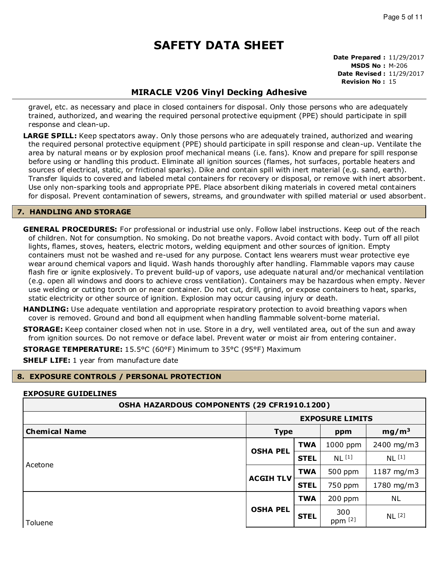#### **Date Prepared :** 11/29/2017 **MSDS No :** M-206 **Date Revised :** 11/29/2017 **Revision No :** 15

# **MIRACLE V206 Vinyl Decking Adhesive**

gravel, etc. as necessary and place in closed containers for disposal. Only those persons who are adequately trained, authorized, and wearing the required personal protective equipment (PPE) should participate in spill response and clean-up.

**LARGE SPILL:** Keep spectators away. Only those persons who are adequately trained, authorized and wearing the required personal protective equipment (PPE) should participate in spill response and clean-up. Ventilate the area by natural means or by explosion proof mechanical means (i.e. fans). Know and prepare for spill response before using or handling this product. Eliminate all ignition sources (flames, hot surfaces, portable heaters and sources of electrical, static, or frictional sparks). Dike and contain spill with inert material (e.g. sand, earth). Transfer liquids to covered and labeled metal containers for recovery or disposal, or remove with inert absorbent. Use only non-sparking tools and appropriate PPE. Place absorbent diking materials in covered metal containers for disposal. Prevent contamination of sewers, streams, and groundwater with spilled material or used absorbent.

### **7. HANDLING AND STORAGE**

**GENERAL PROCEDURES:** For professional or industrial use only. Follow label instructions. Keep out of the reach of children. Not for consumption. No smoking. Do not breathe vapors. Avoid contact with body. Turn off all pilot lights, flames, stoves, heaters, electric motors, welding equipment and other sources of ignition. Empty containers must not be washed and re-used for any purpose. Contact lens wearers must wear protective eye wear around chemical vapors and liquid. Wash hands thoroughly after handling. Flammable vapors may cause flash fire or ignite explosively. To prevent build-up of vapors, use adequate natural and/or mechanical ventilation (e.g. open all windows and doors to achieve cross ventilation). Containers may be hazardous when empty. Never use welding or cutting torch on or near container. Do not cut, drill, grind, or expose containers to heat, sparks, static electricity or other source of ignition. Explosion may occur causing injury or death.

**HANDLING:** Use adequate ventilation and appropriate respiratory protection to avoid breathing vapors when cover is removed. Ground and bond all equipment when handling flammable solvent-borne material.

**STORAGE:** Keep container closed when not in use. Store in a dry, well ventilated area, out of the sun and away from ignition sources. Do not remove or deface label. Prevent water or moist air from entering container.

**STORAGE TEMPERATURE:** 15.5°C (60°F) Minimum to 35°C (95°F) Maximum

**SHELF LIFE:** 1 year from manufacture date

### **8. EXPOSURE CONTROLS / PERSONAL PROTECTION**

### **EXPOSURE GUIDELINES**

| OSHA HAZARDOUS COMPONENTS (29 CFR1910.1200) |                                         |             |                   |                   |
|---------------------------------------------|-----------------------------------------|-------------|-------------------|-------------------|
|                                             | <b>EXPOSURE LIMITS</b>                  |             |                   |                   |
| <b>Chemical Name</b>                        | mg/m <sup>3</sup><br><b>Type</b><br>ppm |             |                   |                   |
|                                             |                                         |             | 1000 ppm          | 2400 mg/m3        |
|                                             | <b>OSHA PEL</b>                         | <b>STEL</b> | NL <sup>[1]</sup> | NL <sup>[1]</sup> |
| Acetone                                     |                                         | <b>TWA</b>  | 500 ppm           | 1187 mg/m3        |
| <b>ACGIH TLV</b>                            | <b>STEL</b>                             | 750 ppm     | 1780 mg/m3        |                   |
|                                             |                                         | <b>TWA</b>  | 200 ppm           | NL.               |
| Toluene                                     | <b>OSHA PEL</b>                         | <b>STEL</b> | 300<br>ppm [2]    | NL <sup>[2]</sup> |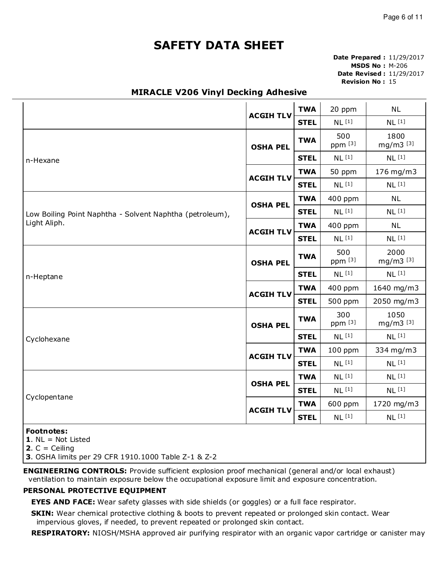**Date Prepared :** 11/29/2017 **MSDS No :** M-206 **Date Revised :** 11/29/2017 **Revision No :** 15

# **MIRACLE V206 Vinyl Decking Adhesive**

|                                                          |                  |             | 20 ppm            | <b>NL</b>         |
|----------------------------------------------------------|------------------|-------------|-------------------|-------------------|
|                                                          | <b>ACGIH TLV</b> | <b>STEL</b> | NL <sup>[1]</sup> | NL <sup>[1]</sup> |
| <b>OSHA PEL</b>                                          |                  | <b>TWA</b>  | 500<br>ppm [3]    | 1800<br>mg/m3 [3] |
| n-Hexane                                                 |                  | <b>STEL</b> | NL <sup>[1]</sup> | NL <sup>[1]</sup> |
|                                                          | <b>ACGIH TLV</b> | <b>TWA</b>  | 50 ppm            | 176 mg/m3         |
|                                                          |                  | <b>STEL</b> | NL <sup>[1]</sup> | NL <sup>[1]</sup> |
|                                                          | <b>OSHA PEL</b>  | <b>TWA</b>  | 400 ppm           | <b>NL</b>         |
| Low Boiling Point Naphtha - Solvent Naphtha (petroleum), |                  | <b>STEL</b> | NL <sup>[1]</sup> | NL <sup>[1]</sup> |
| Light Aliph.                                             |                  | <b>TWA</b>  | 400 ppm           | <b>NL</b>         |
|                                                          | <b>ACGIH TLV</b> | <b>STEL</b> | NL <sup>[1]</sup> | NL <sup>[1]</sup> |
| <b>OSHA PEL</b>                                          |                  | <b>TWA</b>  | 500<br>ppm [3]    | 2000<br>mg/m3 [3] |
| n-Heptane                                                |                  | <b>STEL</b> | NL <sup>[1]</sup> | NL <sup>[1]</sup> |
| <b>ACGIH TLV</b>                                         |                  | <b>TWA</b>  | 400 ppm           | 1640 mg/m3        |
|                                                          |                  | <b>STEL</b> | 500 ppm           | 2050 mg/m3        |
|                                                          | <b>OSHA PEL</b>  |             | 300<br>ppm [3]    | 1050<br>mg/m3 [3] |
| Cyclohexane                                              |                  | <b>STEL</b> | NL <sup>[1]</sup> | NL <sup>[1]</sup> |
|                                                          | <b>ACGIH TLV</b> | <b>TWA</b>  | $100$ ppm         | 334 mg/m3         |
|                                                          |                  | <b>STEL</b> | NL <sup>[1]</sup> | NL <sup>[1]</sup> |
|                                                          | <b>OSHA PEL</b>  | <b>TWA</b>  | NL <sup>[1]</sup> | NL <sup>[1]</sup> |
|                                                          |                  | <b>STEL</b> | NL <sup>[1]</sup> | NL <sup>[1]</sup> |
| Cyclopentane                                             | <b>ACGIH TLV</b> | <b>TWA</b>  | 600 ppm           | 1720 mg/m3        |
|                                                          |                  | <b>STEL</b> | NL <sup>[1]</sup> | NL <sup>[1]</sup> |
| <b>Footnotes:</b>                                        |                  |             |                   |                   |

**1**. NL = Not Listed

**2.**  $C =$  Ceiling

**3**. OSHA limits per 29 CFR 1910.1000 Table Z-1 & Z-2

**ENGINEERING CONTROLS:** Provide sufficient explosion proof mechanical (general and/or local exhaust) ventilation to maintain exposure below the occupational exposure limit and exposure concentration.

### **PERSONAL PROTECTIVE EQUIPMENT**

**EYES AND FACE:** Wear safety glasses with side shields (or goggles) or a full face respirator.

**SKIN:** Wear chemical protective clothing & boots to prevent repeated or prolonged skin contact. Wear impervious gloves, if needed, to prevent repeated or prolonged skin contact.

**RESPIRATORY:** NIOSH/MSHA approved air purifying respirator with an organic vapor cartridge or canister may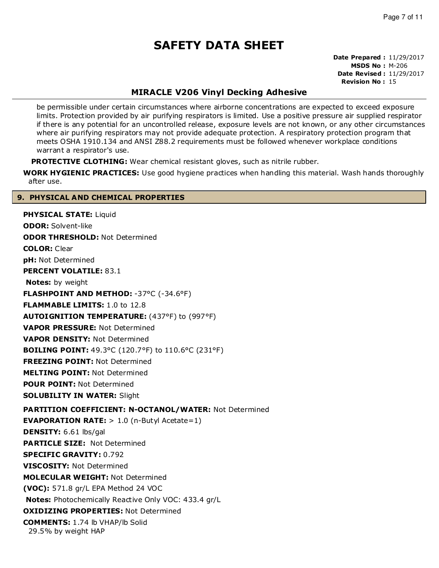**Date Prepared :** 11/29/2017 **MSDS No :** M-206 **Date Revised :** 11/29/2017 **Revision No :** 15

# **MIRACLE V206 Vinyl Decking Adhesive**

be permissible under certain circumstances where airborne concentrations are expected to exceed exposure limits. Protection provided by air purifying respirators is limited. Use a positive pressure air supplied respirator if there is any potential for an uncontrolled release, exposure levels are not known, or any other circumstances where air purifying respirators may not provide adequate protection. A respiratory protection program that meets OSHA 1910.134 and ANSI Z88.2 requirements must be followed whenever workplace conditions warrant a respirator's use.

**PROTECTIVE CLOTHING:** Wear chemical resistant gloves, such as nitrile rubber.

**WORK HYGIENIC PRACTICES:** Use good hygiene practices when handling this material. Wash hands thoroughly after use.

### **9. PHYSICAL AND CHEMICAL PROPERTIES**

**PHYSICAL STATE:** Liquid **ODOR:** Solvent-like **ODOR THRESHOLD:** Not Determined **COLOR:** Clear **pH:** Not Determined **PERCENT VOLATILE:** 83.1 **Notes:** by weight **FLASHPOINT AND METHOD:** -37°C (-34.6°F) **FLAMMABLE LIMITS:** 1.0 to 12.8 **AUTOIGNITION TEMPERATURE:** (437°F) to (997°F) **VAPOR PRESSURE:** Not Determined **VAPOR DENSITY:** Not Determined **BOILING POINT:** 49.3°C (120.7°F) to 110.6°C (231°F) **FREEZING POINT:** Not Determined **MELTING POINT:** Not Determined **POUR POINT:** Not Determined **SOLUBILITY IN WATER:** Slight **PARTITION COEFFICIENT: N-OCTANOL/WATER:** Not Determined **EVAPORATION RATE:** > 1.0 (n-Butyl Acetate=1) **DENSITY:** 6.61 lbs/gal **PARTICLE SIZE:** Not Determined **SPECIFIC GRAVITY:** 0.792 **VISCOSITY:** Not Determined **MOLECULAR WEIGHT:** Not Determined **(VOC):** 571.8 gr/L EPA Method 24 VOC **Notes:** Photochemically Reactive Only VOC: 433.4 gr/L **OXIDIZING PROPERTIES:** Not Determined **COMMENTS:** 1.74 lb VHAP/lb Solid 29.5% by weight HAP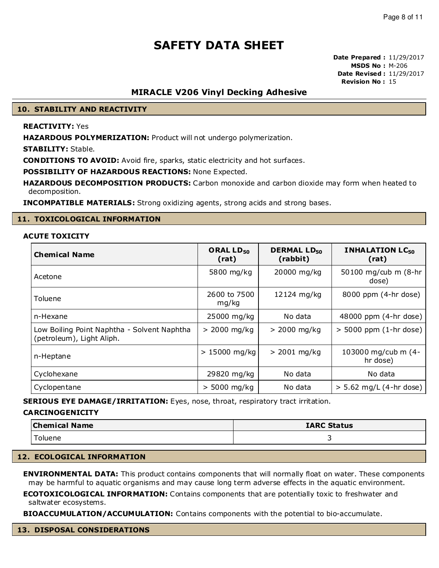**Date Prepared :** 11/29/2017 **MSDS No :** M-206 **Date Revised :** 11/29/2017 **Revision No :** 15

### **MIRACLE V206 Vinyl Decking Adhesive**

### **10. STABILITY AND REACTIVITY**

### **REACTIVITY:** Yes

**HAZARDOUS POLYMERIZATION:** Product will not undergo polymerization.

**STABILITY:** Stable.

**CONDITIONS TO AVOID:** Avoid fire, sparks, static electricity and hot surfaces.

**POSSIBILITY OF HAZARDOUS REACTIONS:** None Expected.

**HAZARDOUS DECOMPOSITION PRODUCTS:** Carbon monoxide and carbon dioxide may form when heated to decomposition.

**INCOMPATIBLE MATERIALS:** Strong oxidizing agents, strong acids and strong bases.

#### **11. TOXICOLOGICAL INFORMATION**

### **ACUTE TOXICITY**

| <b>Chemical Name</b>                                                     | ORAL LD <sub>50</sub><br>(rat) | <b>DERMAL LD<sub>50</sub></b><br>(rabbit) | <b>INHALATION LC<sub>50</sub></b><br>(rat) |
|--------------------------------------------------------------------------|--------------------------------|-------------------------------------------|--------------------------------------------|
| Acetone                                                                  | 5800 mg/kg                     | 20000 mg/kg                               | 50100 mg/cub m (8-hr<br>dose)              |
| Toluene                                                                  | 2600 to 7500<br>mg/kg          | 12124 mg/kg                               | 8000 ppm (4-hr dose)                       |
| n-Hexane                                                                 | 25000 mg/kg                    | No data                                   | 48000 ppm (4-hr dose)                      |
| Low Boiling Point Naphtha - Solvent Naphtha<br>(petroleum), Light Aliph. | $> 2000$ mg/kg                 | $> 2000$ mg/kg                            | $>$ 5000 ppm (1-hr dose)                   |
| n-Heptane                                                                | $> 15000$ mg/kg                | $> 2001$ mg/kg                            | 103000 mg/cub m (4-<br>hr dose)            |
| Cyclohexane                                                              | 29820 mg/kg                    | No data                                   | No data                                    |
| Cyclopentane                                                             | $> 5000$ mg/kg                 | No data                                   | $> 5.62$ mg/L (4-hr dose)                  |

**SERIOUS EYE DAMAGE/IRRITATION:** Eyes, nose, throat, respiratory tract irritation.

#### **CARCINOGENICITY**

| <b>Chemical Name</b> | <b>IARC Status</b> |
|----------------------|--------------------|
| Toluene              |                    |

#### **12. ECOLOGICAL INFORMATION**

**ENVIRONMENTAL DATA:** This product contains components that will normally float on water. These components may be harmful to aquatic organisms and may cause long term adverse effects in the aquatic environment.

**ECOTOXICOLOGICAL INFORMATION:** Contains components that are potentially toxic to freshwater and saltwater ecosystems.

**BIOACCUMULATION/ACCUMULATION:** Contains components with the potential to bio-accumulate.

#### **13. DISPOSAL CONSIDERATIONS**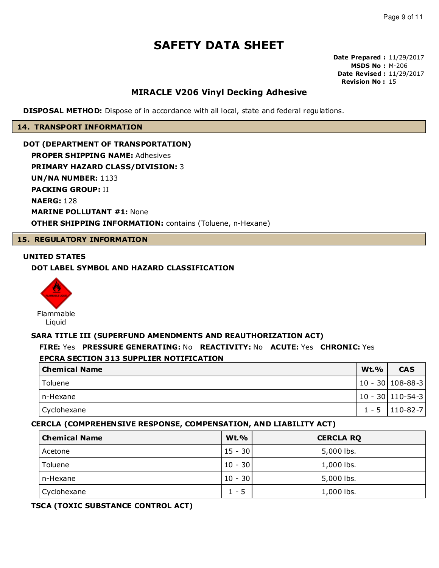**Date Prepared :** 11/29/2017 **MSDS No :** M-206 **Date Revised :** 11/29/2017 **Revision No :** 15

## **MIRACLE V206 Vinyl Decking Adhesive**

**DISPOSAL METHOD:** Dispose of in accordance with all local, state and federal regulations.

#### **14. TRANSPORT INFORMATION**

**DOT (DEPARTMENT OF TRANSPORTATION) PROPER SHIPPING NAME:** Adhesives **PRIMARY HAZARD CLASS/DIVISION:** 3 **UN/NA NUMBER:** 1133 **PACKING GROUP:** II **NAERG:** 128 **MARINE POLLUTANT #1:** None **OTHER SHIPPING INFORMATION:** contains (Toluene, n-Hexane)

### **15. REGULATORY INFORMATION**

### **UNITED STATES**

### **DOT LABEL SYMBOL AND HAZARD CLASSIFICATION**



## **SARA TITLE III (SUPERFUND AMENDMENTS AND REAUTHORIZATION ACT)**

# **FIRE:** Yes **PRESSURE GENERATING:** No **REACTIVITY:** No **ACUTE:** Yes **CHRONIC:** Yes

### **EPCRA SECTION 313 SUPPLIER NOTIFICATION**

| <b>Chemical Name</b> | <b>Wt.%</b> | <b>CAS</b>         |
|----------------------|-------------|--------------------|
| Toluene              |             | 10 - 30   108-88-3 |
| l n-Hexane           |             | 10 - 30   110-54-3 |
| Cyclohexane          |             | $1 - 5$   110-82-7 |

### **CERCLA (COMPREHENSIVE RESPONSE, COMPENSATION, AND LIABILITY ACT)**

| <b>Chemical Name</b> | <b>Wt.%</b> | <b>CERCLA RQ</b> |
|----------------------|-------------|------------------|
| Acetone              | $15 - 30$   | 5,000 lbs.       |
| Toluene              | $10 - 30$   | 1,000 lbs.       |
| n-Hexane             | $10 - 30$   | 5,000 lbs.       |
| Cyclohexane          | $1 - 5$     | 1,000 lbs.       |

### **TSCA (TOXIC SUBSTANCE CONTROL ACT)**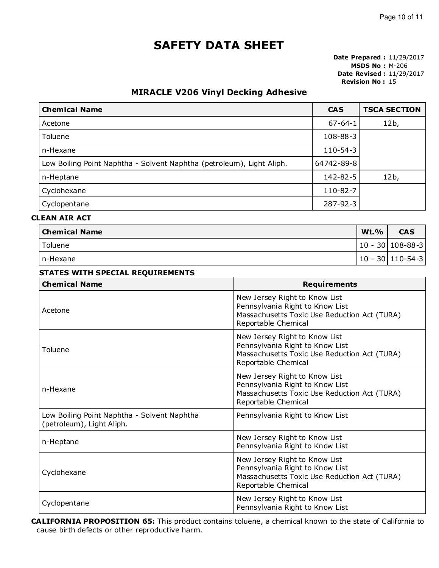**Date Prepared :** 11/29/2017 **MSDS No :** M-206 **Date Revised :** 11/29/2017 **Revision No :** 15

# **MIRACLE V206 Vinyl Decking Adhesive**

| <b>Chemical Name</b>                                                  | <b>CAS</b>     | <b>TSCA SECTION</b> |
|-----------------------------------------------------------------------|----------------|---------------------|
| Acetone                                                               | $67 - 64 - 1$  | 12b,                |
| <b>Toluene</b>                                                        | $108 - 88 - 3$ |                     |
| n-Hexane                                                              | $110 - 54 - 3$ |                     |
| Low Boiling Point Naphtha - Solvent Naphtha (petroleum), Light Aliph. | 64742-89-8     |                     |
| n-Heptane                                                             | $142 - 82 - 5$ | 12b,                |
| Cyclohexane                                                           | 110-82-7       |                     |
| Cyclopentane                                                          | 287-92-3       |                     |

# **CLEAN AIR ACT**

| Chemical Name | <b>Wt.%</b> | <b>CAS</b>               |
|---------------|-------------|--------------------------|
| Toluene       |             | $ 10 - 30 108 - 88 - 3 $ |
| I n-Hexane    |             | $ 10 - 30 110-54-3 $     |

| <b>Chemical Name</b>                                                     | <b>Requirements</b>                                                                                                                     |
|--------------------------------------------------------------------------|-----------------------------------------------------------------------------------------------------------------------------------------|
| Acetone                                                                  | New Jersey Right to Know List<br>Pennsylvania Right to Know List<br>Massachusetts Toxic Use Reduction Act (TURA)<br>Reportable Chemical |
| Toluene                                                                  | New Jersey Right to Know List<br>Pennsylvania Right to Know List<br>Massachusetts Toxic Use Reduction Act (TURA)<br>Reportable Chemical |
| n-Hexane                                                                 | New Jersey Right to Know List<br>Pennsylvania Right to Know List<br>Massachusetts Toxic Use Reduction Act (TURA)<br>Reportable Chemical |
| Low Boiling Point Naphtha - Solvent Naphtha<br>(petroleum), Light Aliph. | Pennsylvania Right to Know List                                                                                                         |
| n-Heptane                                                                | New Jersey Right to Know List<br>Pennsylvania Right to Know List                                                                        |
| Cyclohexane                                                              | New Jersey Right to Know List<br>Pennsylvania Right to Know List<br>Massachusetts Toxic Use Reduction Act (TURA)<br>Reportable Chemical |
| Cyclopentane                                                             | New Jersey Right to Know List<br>Pennsylvania Right to Know List                                                                        |

**CALIFORNIA PROPOSITION 65:** This product contains toluene, a chemical known to the state of California to cause birth defects or other reproductive harm.